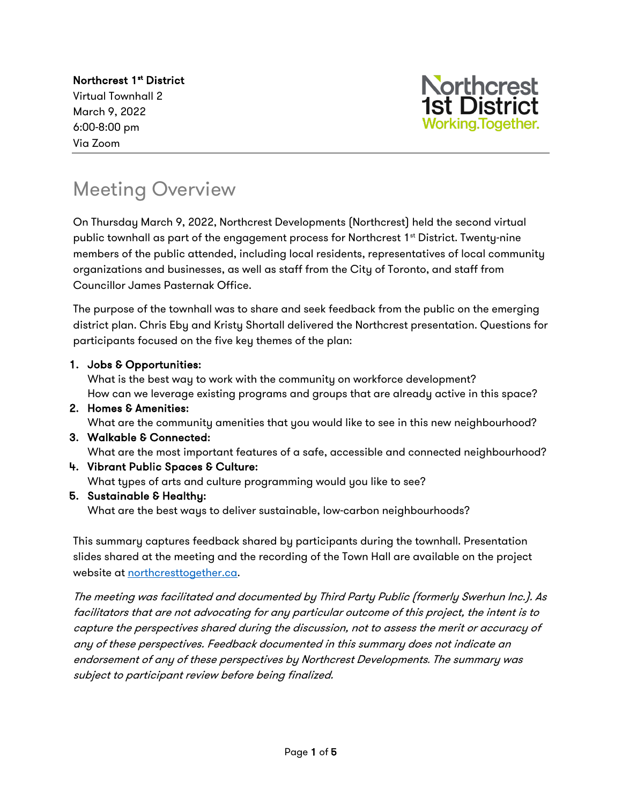Northcrest 1<sup>st</sup> District Virtual Townhall 2 March 9, 2022 6:00-8:00 pm Via Zoom



### Meeting Overview

On Thursday March 9, 2022, Northcrest Developments (Northcrest) held the second virtual public townhall as part of the engagement process for Northcrest  $1<sup>st</sup>$  District. Twenty-nine members of the public attended, including local residents, representatives of local community organizations and businesses, as well as staff from the City of Toronto, and staff from Councillor James Pasternak Office.

The purpose of the townhall was to share and seek feedback from the public on the emerging district plan. Chris Eby and Kristy Shortall delivered the Northcrest presentation. Questions for participants focused on the five key themes of the plan:

#### 1. Jobs & Opportunities:

What is the best way to work with the community on workforce development? How can we leverage existing programs and groups that are already active in this space?

2. Homes & Amenities:

What are the community amenities that you would like to see in this new neighbourhood?

3. Walkable & Connected:

What are the most important features of a safe, accessible and connected neighbourhood?

- 4. Vibrant Public Spaces & Culture: What types of arts and culture programming would you like to see?
- 5. Sustainable & Healthy:

What are the best ways to deliver sustainable, low-carbon neighbourhoods?

This summary captures feedback shared by participants during the townhall. Presentation slides shared at the meeting and the recording of the Town Hall are available on the project website at [northcresttogether.ca.](https://northcresttogether.ca)

The meeting was facilitated and documented by Third Party Public (formerly Swerhun Inc.). As facilitators that are not advocating for any particular outcome of this project, the intent is to capture the perspectives shared during the discussion, not to assess the merit or accuracy of any of these perspectives. Feedback documented in this summary does not indicate an endorsement of any of these perspectives by Northcrest Developments. The summary was subject to participant review before being finalized.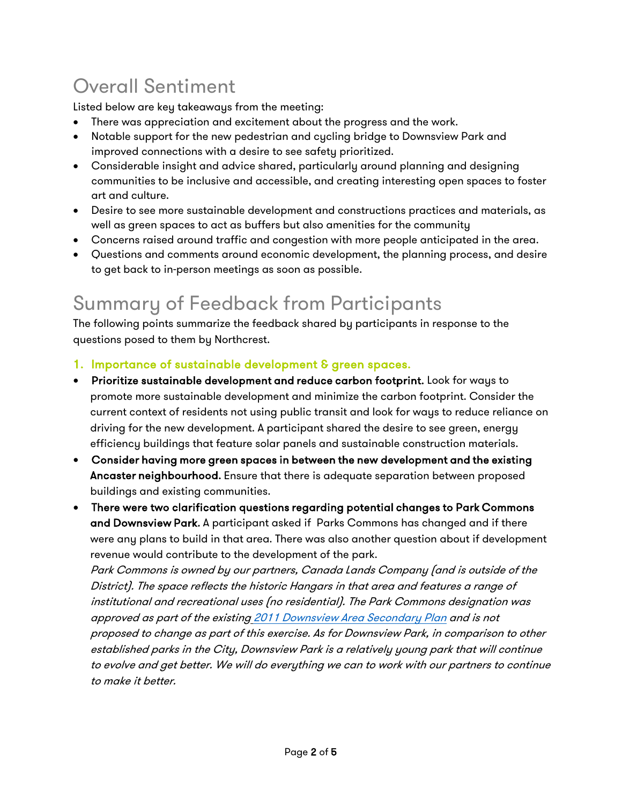# Overall Sentiment

Listed below are key takeaways from the meeting:

- There was appreciation and excitement about the progress and the work.
- Notable support for the new pedestrian and cycling bridge to Downsview Park and improved connections with a desire to see safety prioritized.
- Considerable insight and advice shared, particularly around planning and designing communities to be inclusive and accessible, and creating interesting open spaces to foster art and culture.
- Desire to see more sustainable development and constructions practices and materials, as well as green spaces to act as buffers but also amenities for the community
- Concerns raised around traffic and congestion with more people anticipated in the area.
- Questions and comments around economic development, the planning process, and desire to get back to in-person meetings as soon as possible.

## Summary of Feedback from Participants

The following points summarize the feedback shared by participants in response to the questions posed to them by Northcrest.

- 1. Importance of sustainable development & green spaces.
- Prioritize sustainable development and reduce carbon footprint. Look for ways to promote more sustainable development and minimize the carbon footprint. Consider the current context of residents not using public transit and look for ways to reduce reliance on driving for the new development. A participant shared the desire to see green, energy efficiency buildings that feature solar panels and sustainable construction materials.
- Consider having more green spaces in between the new development and the existing Ancaster neighbourhood. Ensure that there is adequate separation between proposed buildings and existing communities.
- There were two clarification questions regarding potential changes to Park Commons and Downsview Park. A participant asked if Parks Commons has changed and if there were any plans to build in that area. There was also another question about if development revenue would contribute to the development of the park.

Park Commons is owned by our partners, Canada Lands Company (and is outside of the District). The space reflects the historic Hangars in that area and features a range of institutional and recreational uses (no residential). The Park Commons designation was approved as part of the existing 2011 Downsview [Area Secondary Plan](https://www.toronto.ca/wp-content/uploads/2017/11/902d-cp-official-plan-SP-7-Downsview.pdf) and is not proposed to change as part of this exercise. As for Downsview Park, in comparison to other established parks in the City, Downsview Park is a relatively young park that will continue to evolve and get better. We will do everything we can to work with our partners to continue to make it better.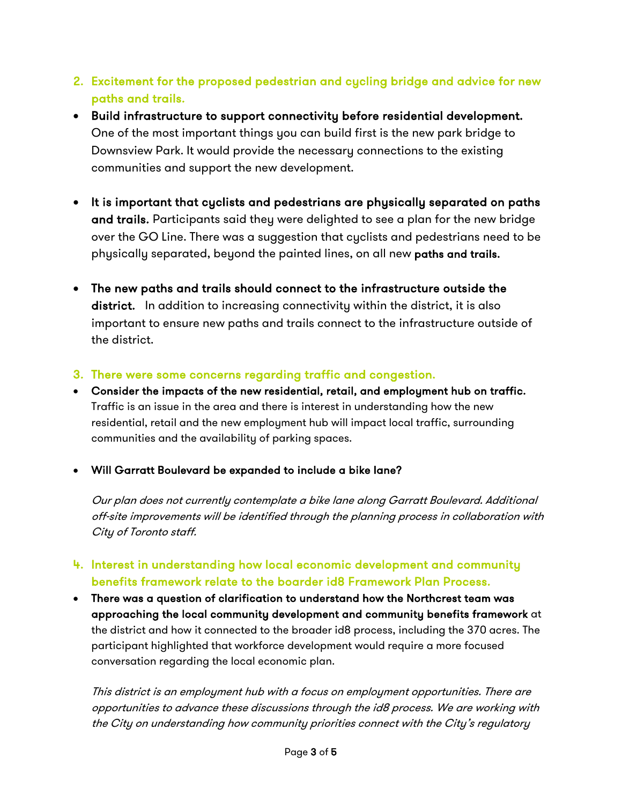- 2. Excitement for the proposed pedestrian and cycling bridge and advice for new paths and trails.
- Build infrastructure to support connectivity before residential development. One of the most important things you can build first is the new park bridge to Downsview Park. It would provide the necessary connections to the existing communities and support the new development.
- It is important that cyclists and pedestrians are physically separated on paths and trails. Participants said they were delighted to see a plan for the new bridge over the GO Line. There was a suggestion that cyclists and pedestrians need to be physically separated, beyond the painted lines, on all new paths and trails.
- The new paths and trails should connect to the infrastructure outside the district. In addition to increasing connectivity within the district, it is also important to ensure new paths and trails connect to the infrastructure outside of the district.
- 3. There were some concerns regarding traffic and congestion.
- Consider the impacts of the new residential, retail, and employment hub on traffic. Traffic is an issue in the area and there is interest in understanding how the new residential, retail and the new employment hub will impact local traffic, surrounding communities and the availability of parking spaces.
- Will Garratt Boulevard be expanded to include a bike lane?

Our plan does not currently contemplate a bike lane along Garratt Boulevard. Additional off-site improvements will be identified through the planning process in collaboration with City of Toronto staff.

- 4. Interest in understanding how local economic development and community benefits framework relate to the boarder id8 Framework Plan Process.
- There was a question of clarification to understand how the Northcrest team was approaching the local community development and community benefits framework at the district and how it connected to the broader id8 process, including the 370 acres. The participant highlighted that workforce development would require a more focused conversation regarding the local economic plan.

This district is an employment hub with a focus on employment opportunities. There are opportunities to advance these discussions through the id8 process. We are working with the City on understanding how community priorities connect with the City's regulatory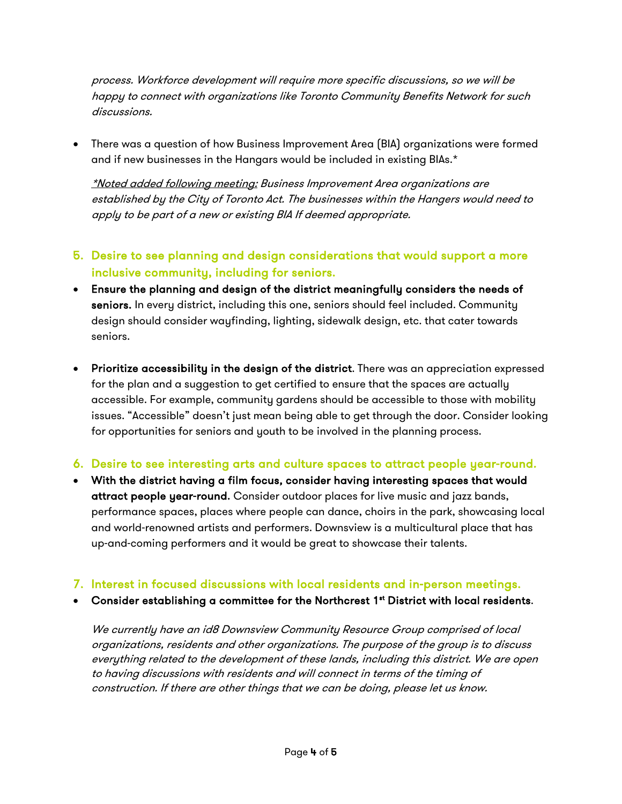process. Workforce development will require more specific discussions, so we will be happy to connect with organizations like Toronto Community Benefits Network for such discussions.

• There was a question of how Business Improvement Area (BIA) organizations were formed and if new businesses in the Hangars would be included in existing BIAs.\*

\*Noted added following meeting: Business Improvement Area organizations are established by the City of Toronto Act. The businesses within the Hangers would need to apply to be part of a new or existing BIA If deemed appropriate.

- 5. Desire to see planning and design considerations that would support a more inclusive community, including for seniors.
- Ensure the planning and design of the district meaningfully considers the needs of seniors. In every district, including this one, seniors should feel included. Community design should consider wayfinding, lighting, sidewalk design, etc. that cater towards seniors.
- Prioritize accessibility in the design of the district. There was an appreciation expressed for the plan and a suggestion to get certified to ensure that the spaces are actually accessible. For example, community gardens should be accessible to those with mobility issues. "Accessible" doesn't just mean being able to get through the door. Consider looking for opportunities for seniors and youth to be involved in the planning process.

#### 6. Desire to see interesting arts and culture spaces to attract people year-round.

• With the district having a film focus, consider having interesting spaces that would attract people year-round. Consider outdoor places for live music and jazz bands, performance spaces, places where people can dance, choirs in the park, showcasing local and world-renowned artists and performers. Downsview is a multicultural place that has up-and-coming performers and it would be great to showcase their talents.

#### 7. Interest in focused discussions with local residents and in-person meetings.

• Consider establishing a committee for the Northcrest 1st District with local residents.

We currently have an id8 Downsview Community Resource Group comprised of local organizations, residents and other organizations. The purpose of the group is to discuss everything related to the development of these lands, including this district. We are open to having discussions with residents and will connect in terms of the timing of construction. If there are other things that we can be doing, please let us know.